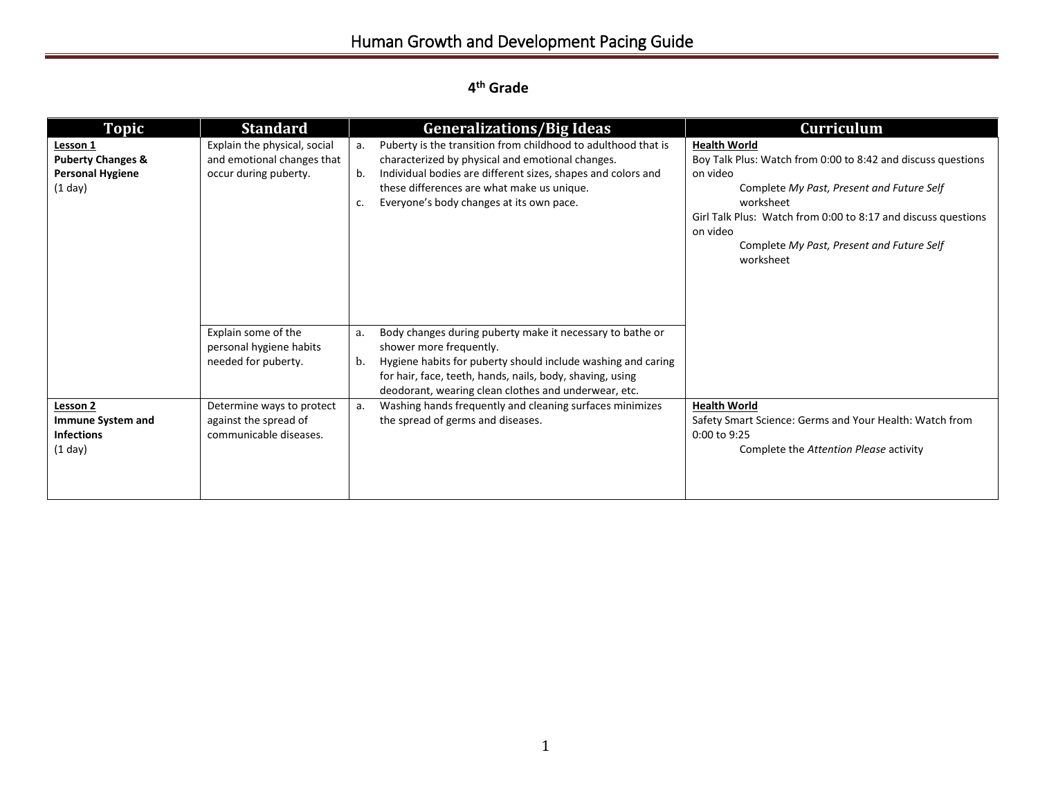## **4 th Grade**

| <b>Topic</b>                                                                     | <b>Standard</b>                                                                     | <b>Generalizations/Big Ideas</b>                                                                                                                                                                                                                                                              | Curriculum                                                                                                                                                                                                                                                                                       |
|----------------------------------------------------------------------------------|-------------------------------------------------------------------------------------|-----------------------------------------------------------------------------------------------------------------------------------------------------------------------------------------------------------------------------------------------------------------------------------------------|--------------------------------------------------------------------------------------------------------------------------------------------------------------------------------------------------------------------------------------------------------------------------------------------------|
| Lesson 1<br><b>Puberty Changes &amp;</b><br><b>Personal Hygiene</b><br>$(1$ day) | Explain the physical, social<br>and emotional changes that<br>occur during puberty. | Puberty is the transition from childhood to adulthood that is<br>a.<br>characterized by physical and emotional changes.<br>Individual bodies are different sizes, shapes and colors and<br>b.<br>these differences are what make us unique.<br>Everyone's body changes at its own pace.<br>c. | <b>Health World</b><br>Boy Talk Plus: Watch from 0:00 to 8:42 and discuss questions<br>on video<br>Complete My Past, Present and Future Self<br>worksheet<br>Girl Talk Plus: Watch from 0:00 to 8:17 and discuss questions<br>on video<br>Complete My Past, Present and Future Self<br>worksheet |
|                                                                                  | Explain some of the<br>personal hygiene habits<br>needed for puberty.               | Body changes during puberty make it necessary to bathe or<br>a.<br>shower more frequently.<br>Hygiene habits for puberty should include washing and caring<br>b.<br>for hair, face, teeth, hands, nails, body, shaving, using<br>deodorant, wearing clean clothes and underwear, etc.         |                                                                                                                                                                                                                                                                                                  |
| Lesson 2<br>Immune System and<br><b>Infections</b><br>$(1$ day)                  | Determine ways to protect<br>against the spread of<br>communicable diseases.        | Washing hands frequently and cleaning surfaces minimizes<br>a.<br>the spread of germs and diseases.                                                                                                                                                                                           | <b>Health World</b><br>Safety Smart Science: Germs and Your Health: Watch from<br>0:00 to 9:25<br>Complete the Attention Please activity                                                                                                                                                         |